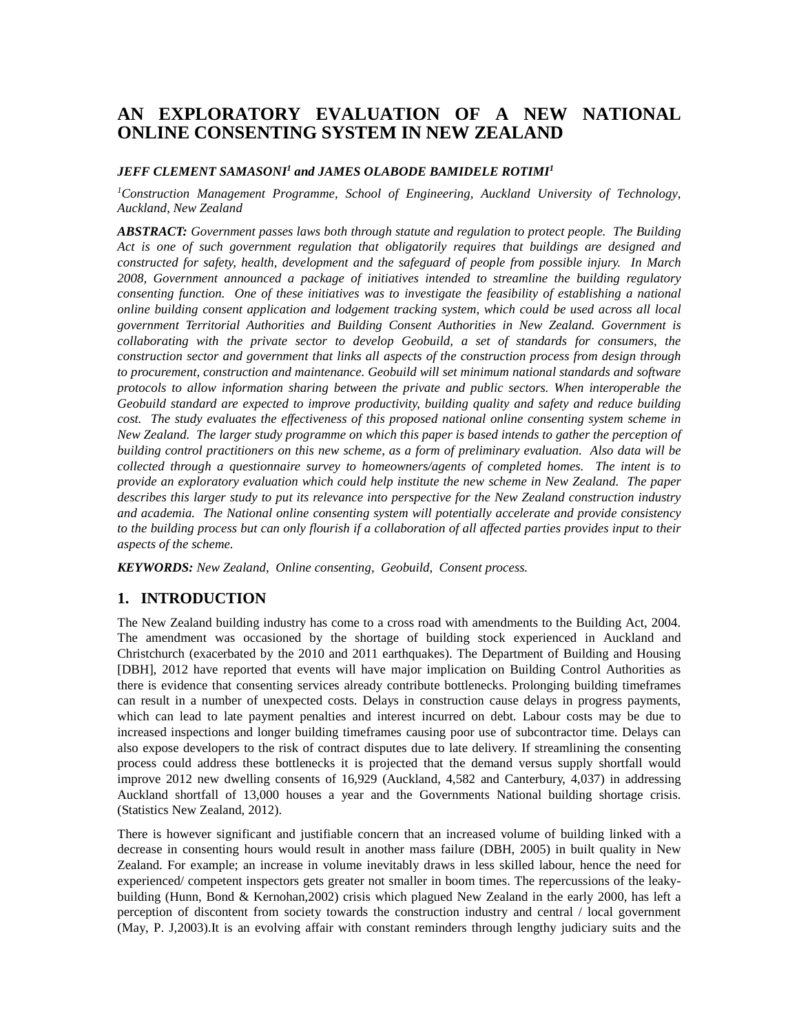# **AN EXPLORATORY EVALUATION OF A NEW NATIONAL ONLINE CONSENTING SYSTEM IN NEW ZEALAND**

#### *JEFF CLEMENT SAMASONI1 and JAMES OLABODE BAMIDELE ROTIMI1*

*1 Construction Management Programme, School of Engineering, Auckland University of Technology, Auckland, New Zealand*

*ABSTRACT: Government passes laws both through statute and regulation to protect people. The Building Act is one of such government regulation that obligatorily requires that buildings are designed and constructed for safety, health, development and the safeguard of people from possible injury. In March 2008, Government announced a package of initiatives intended to streamline the building regulatory consenting function. One of these initiatives was to investigate the feasibility of establishing a national online building consent application and lodgement tracking system, which could be used across all local government Territorial Authorities and Building Consent Authorities in New Zealand. Government is collaborating with the private sector to develop Geobuild, a set of standards for consumers, the construction sector and government that links all aspects of the construction process from design through to procurement, construction and maintenance. Geobuild will set minimum national standards and software protocols to allow information sharing between the private and public sectors. When interoperable the Geobuild standard are expected to improve productivity, building quality and safety and reduce building cost. The study evaluates the effectiveness of this proposed national online consenting system scheme in New Zealand. The larger study programme on which this paper is based intends to gather the perception of building control practitioners on this new scheme, as a form of preliminary evaluation. Also data will be collected through a questionnaire survey to homeowners/agents of completed homes. The intent is to provide an exploratory evaluation which could help institute the new scheme in New Zealand. The paper describes this larger study to put its relevance into perspective for the New Zealand construction industry and academia. The National online consenting system will potentially accelerate and provide consistency to the building process but can only flourish if a collaboration of all affected parties provides input to their aspects of the scheme.*

*KEYWORDS: New Zealand, Online consenting, Geobuild, Consent process.*

## **1. INTRODUCTION**

The New Zealand building industry has come to a cross road with amendments to the Building Act, 2004. The amendment was occasioned by the shortage of building stock experienced in Auckland and Christchurch (exacerbated by the 2010 and 2011 earthquakes). The Department of Building and Housing [DBH], 2012 have reported that events will have major implication on Building Control Authorities as there is evidence that consenting services already contribute bottlenecks. Prolonging building timeframes can result in a number of unexpected costs. Delays in construction cause delays in progress payments, which can lead to late payment penalties and interest incurred on debt. Labour costs may be due to increased inspections and longer building timeframes causing poor use of subcontractor time. Delays can also expose developers to the risk of contract disputes due to late delivery. If streamlining the consenting process could address these bottlenecks it is projected that the demand versus supply shortfall would improve 2012 new dwelling consents of 16,929 (Auckland, 4,582 and Canterbury, 4,037) in addressing Auckland shortfall of 13,000 houses a year and the Governments National building shortage crisis. (Statistics New Zealand, 2012).

There is however significant and justifiable concern that an increased volume of building linked with a decrease in consenting hours would result in another mass failure (DBH, 2005) in built quality in New Zealand. For example; an increase in volume inevitably draws in less skilled labour, hence the need for experienced/ competent inspectors gets greater not smaller in boom times. The repercussions of the leakybuilding (Hunn, Bond & Kernohan,2002) crisis which plagued New Zealand in the early 2000, has left a perception of discontent from society towards the construction industry and central / local government (May, P. J,2003).It is an evolving affair with constant reminders through lengthy judiciary suits and the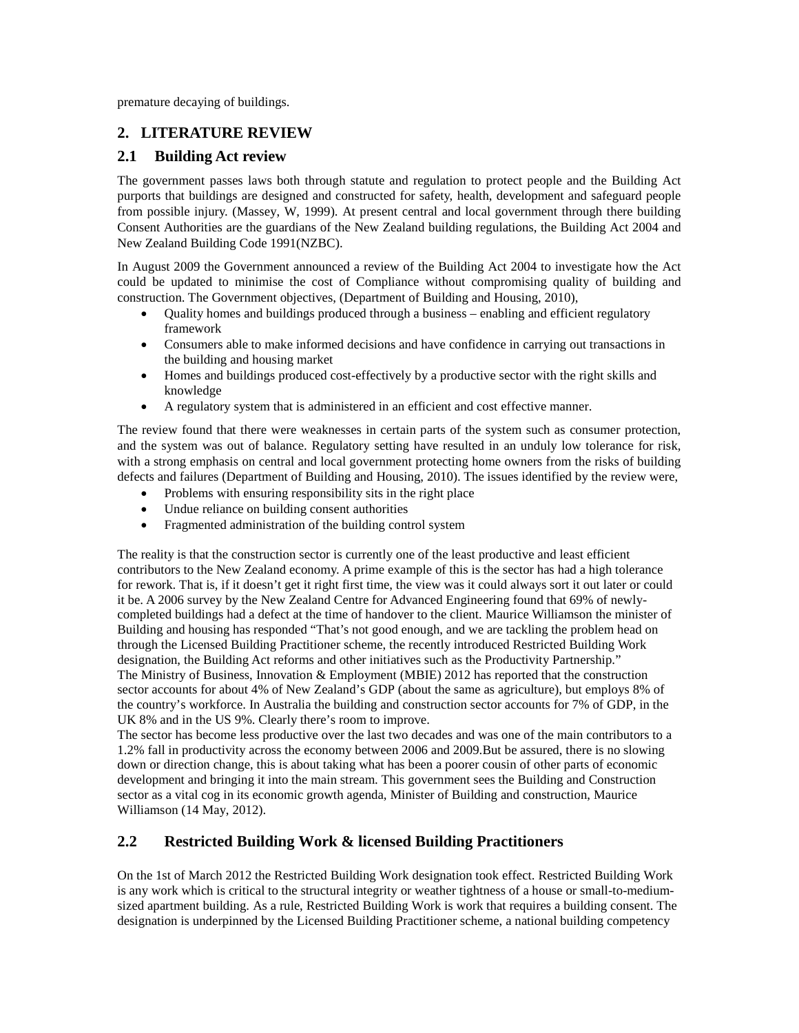premature decaying of buildings.

# **2. LITERATURE REVIEW**

## **2.1 Building Act review**

The government passes laws both through statute and regulation to protect people and the Building Act purports that buildings are designed and constructed for safety, health, development and safeguard people from possible injury. (Massey, W, 1999). At present central and local government through there building Consent Authorities are the guardians of the New Zealand building regulations, the Building Act 2004 and New Zealand Building Code 1991(NZBC).

In August 2009 the Government announced a review of the Building Act 2004 to investigate how the Act could be updated to minimise the cost of Compliance without compromising quality of building and construction. The Government objectives, (Department of Building and Housing, 2010),

- Quality homes and buildings produced through a business enabling and efficient regulatory framework
- Consumers able to make informed decisions and have confidence in carrying out transactions in the building and housing market
- Homes and buildings produced cost-effectively by a productive sector with the right skills and knowledge
- A regulatory system that is administered in an efficient and cost effective manner.

The review found that there were weaknesses in certain parts of the system such as consumer protection, and the system was out of balance. Regulatory setting have resulted in an unduly low tolerance for risk, with a strong emphasis on central and local government protecting home owners from the risks of building defects and failures (Department of Building and Housing, 2010). The issues identified by the review were,

- Problems with ensuring responsibility sits in the right place
- Undue reliance on building consent authorities
- Fragmented administration of the building control system

The reality is that the construction sector is currently one of the least productive and least efficient contributors to the New Zealand economy. A prime example of this is the sector has had a high tolerance for rework. That is, if it doesn't get it right first time, the view was it could always sort it out later or could it be. A 2006 survey by the New Zealand Centre for Advanced Engineering found that 69% of newlycompleted buildings had a defect at the time of handover to the client. Maurice Williamson the minister of Building and housing has responded "That's not good enough, and we are tackling the problem head on through the Licensed Building Practitioner scheme, the recently introduced Restricted Building Work designation, the Building Act reforms and other initiatives such as the Productivity Partnership." The Ministry of Business, Innovation & Employment (MBIE) 2012 has reported that the construction sector accounts for about 4% of New Zealand's GDP (about the same as agriculture), but employs 8% of the country's workforce. In Australia the building and construction sector accounts for 7% of GDP, in the UK 8% and in the US 9%. Clearly there's room to improve.

The sector has become less productive over the last two decades and was one of the main contributors to a 1.2% fall in productivity across the economy between 2006 and 2009.But be assured, there is no slowing down or direction change, this is about taking what has been a poorer cousin of other parts of economic development and bringing it into the main stream. This government sees the Building and Construction sector as a vital cog in its economic growth agenda, Minister of Building and construction, Maurice Williamson (14 May, 2012).

## **2.2 Restricted Building Work & licensed Building Practitioners**

On the 1st of March 2012 the Restricted Building Work designation took effect. Restricted Building Work is any work which is critical to the structural integrity or weather tightness of a house or small-to-mediumsized apartment building. As a rule, Restricted Building Work is work that requires a building consent. The designation is underpinned by the Licensed Building Practitioner scheme, a national building competency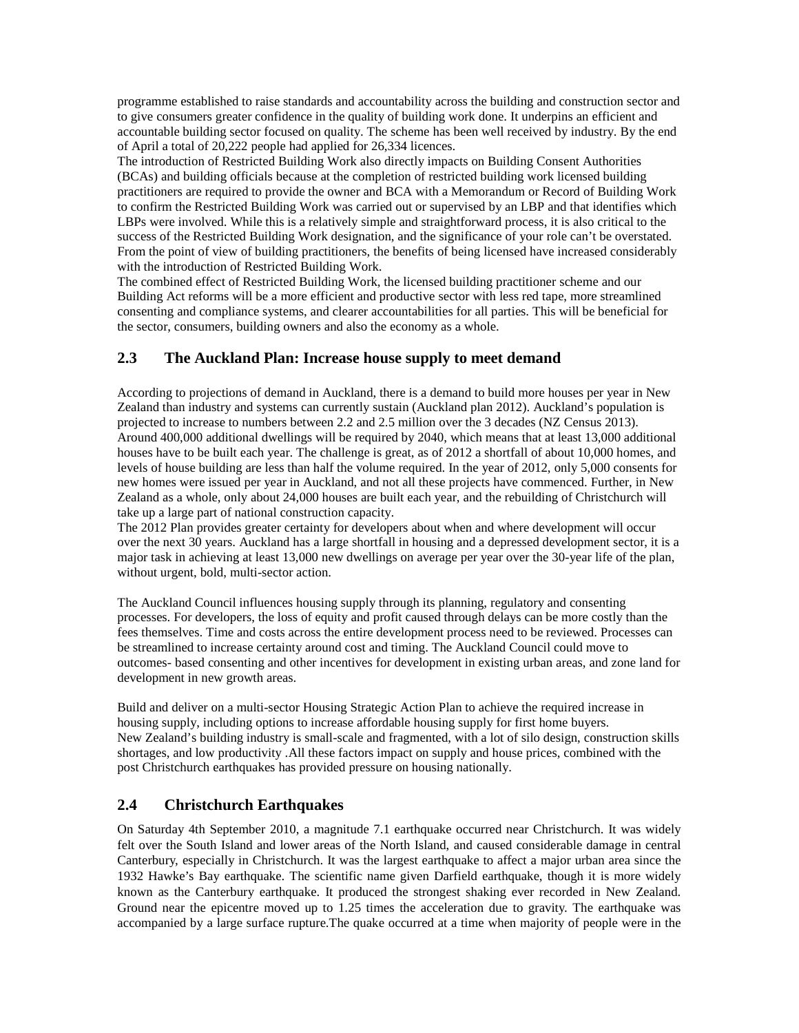programme established to raise standards and accountability across the building and construction sector and to give consumers greater confidence in the quality of building work done. It underpins an efficient and accountable building sector focused on quality. The scheme has been well received by industry. By the end of April a total of 20,222 people had applied for 26,334 licences.

The introduction of Restricted Building Work also directly impacts on Building Consent Authorities (BCAs) and building officials because at the completion of restricted building work licensed building practitioners are required to provide the owner and BCA with a Memorandum or Record of Building Work to confirm the Restricted Building Work was carried out or supervised by an LBP and that identifies which LBPs were involved. While this is a relatively simple and straightforward process, it is also critical to the success of the Restricted Building Work designation, and the significance of your role can't be overstated. From the point of view of building practitioners, the benefits of being licensed have increased considerably with the introduction of Restricted Building Work.

The combined effect of Restricted Building Work, the licensed building practitioner scheme and our Building Act reforms will be a more efficient and productive sector with less red tape, more streamlined consenting and compliance systems, and clearer accountabilities for all parties. This will be beneficial for the sector, consumers, building owners and also the economy as a whole.

# **2.3 The Auckland Plan: Increase house supply to meet demand**

According to projections of demand in Auckland, there is a demand to build more houses per year in New Zealand than industry and systems can currently sustain (Auckland plan 2012). Auckland's population is projected to increase to numbers between 2.2 and 2.5 million over the 3 decades (NZ Census 2013). Around 400,000 additional dwellings will be required by 2040, which means that at least 13,000 additional houses have to be built each year. The challenge is great, as of 2012 a shortfall of about 10,000 homes, and levels of house building are less than half the volume required. In the year of 2012, only 5,000 consents for new homes were issued per year in Auckland, and not all these projects have commenced. Further, in New Zealand as a whole, only about 24,000 houses are built each year, and the rebuilding of Christchurch will take up a large part of national construction capacity.

The 2012 Plan provides greater certainty for developers about when and where development will occur over the next 30 years. Auckland has a large shortfall in housing and a depressed development sector, it is a major task in achieving at least 13,000 new dwellings on average per year over the 30-year life of the plan, without urgent, bold, multi-sector action.

The Auckland Council influences housing supply through its planning, regulatory and consenting processes. For developers, the loss of equity and profit caused through delays can be more costly than the fees themselves. Time and costs across the entire development process need to be reviewed. Processes can be streamlined to increase certainty around cost and timing. The Auckland Council could move to outcomes- based consenting and other incentives for development in existing urban areas, and zone land for development in new growth areas.

Build and deliver on a multi-sector Housing Strategic Action Plan to achieve the required increase in housing supply, including options to increase affordable housing supply for first home buyers. New Zealand's building industry is small-scale and fragmented, with a lot of silo design, construction skills shortages, and low productivity .All these factors impact on supply and house prices, combined with the post Christchurch earthquakes has provided pressure on housing nationally.

# **2.4 Christchurch Earthquakes**

On Saturday 4th September 2010, a magnitude 7.1 earthquake occurred near Christchurch. It was widely felt over the South Island and lower areas of the North Island, and caused considerable damage in central Canterbury, especially in Christchurch. It was the largest earthquake to affect a major urban area since the 1932 Hawke's Bay earthquake. The scientific name given Darfield earthquake, though it is more widely known as the Canterbury earthquake. It produced the strongest shaking ever recorded in New Zealand. Ground near the epicentre moved up to 1.25 times the acceleration due to gravity. The earthquake was accompanied by a large surface rupture.The quake occurred at a time when majority of people were in the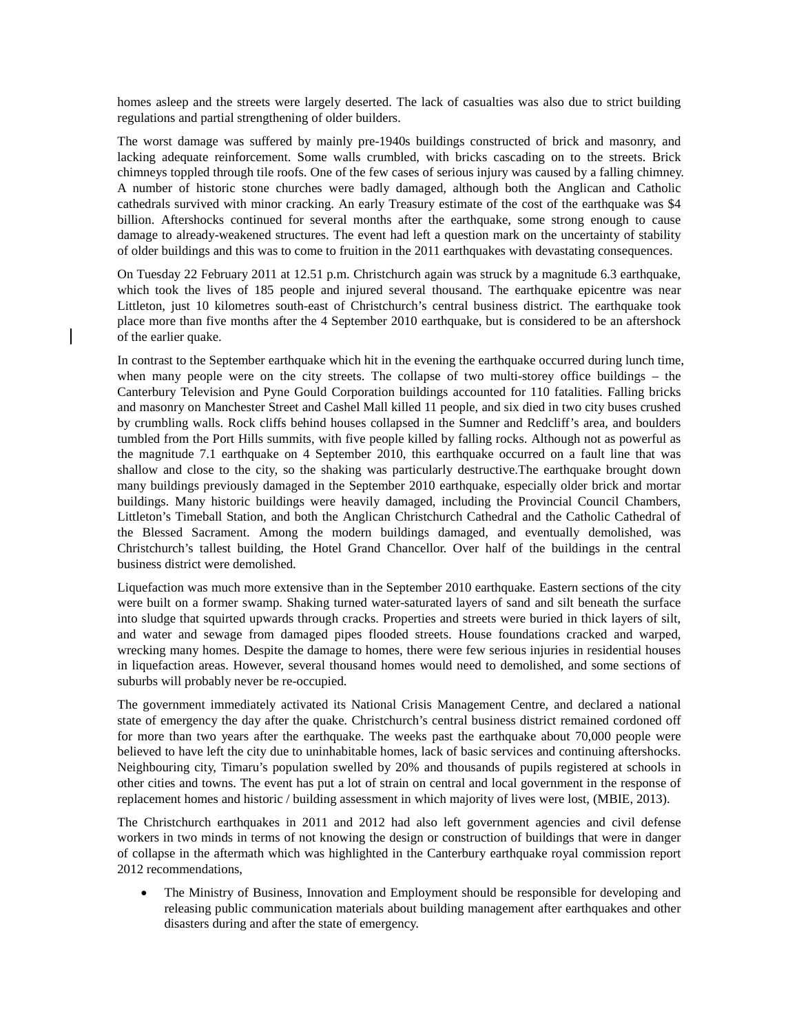homes asleep and the streets were largely deserted. The lack of casualties was also due to strict building regulations and partial strengthening of older builders.

The worst damage was suffered by mainly pre-1940s buildings constructed of brick and masonry, and lacking adequate reinforcement. Some walls crumbled, with bricks cascading on to the streets. Brick chimneys toppled through tile roofs. One of the few cases of serious injury was caused by a falling chimney. A number of historic stone churches were badly damaged, although both the Anglican and Catholic cathedrals survived with minor cracking. An early Treasury estimate of the cost of the earthquake was \$4 billion. Aftershocks continued for several months after the earthquake, some strong enough to cause damage to already-weakened structures. The event had left a question mark on the uncertainty of stability of older buildings and this was to come to fruition in the 2011 earthquakes with devastating consequences.

On Tuesday 22 February 2011 at 12.51 p.m. Christchurch again was struck by a magnitude 6.3 earthquake, which took the lives of 185 people and injured several thousand. The earthquake epicentre was near Littleton, just 10 kilometres south-east of Christchurch's central business district. The earthquake took place more than five months after the 4 September 2010 earthquake, but is considered to be an aftershock of the earlier quake.

In contrast to the September earthquake which hit in the evening the earthquake occurred during lunch time, when many people were on the city streets. The collapse of two multi-storey office buildings – the Canterbury Television and Pyne Gould Corporation buildings accounted for 110 fatalities. Falling bricks and masonry on Manchester Street and Cashel Mall killed 11 people, and six died in two city buses crushed by crumbling walls. Rock cliffs behind houses collapsed in the Sumner and Redcliff's area, and boulders tumbled from the Port Hills summits, with five people killed by falling rocks. Although not as powerful as the magnitude 7.1 earthquake on 4 September 2010, this earthquake occurred on a fault line that was shallow and close to the city, so the shaking was particularly destructive.The earthquake brought down many buildings previously damaged in the September 2010 earthquake, especially older brick and mortar buildings. Many historic buildings were heavily damaged, including the Provincial Council Chambers, Littleton's Timeball Station, and both the Anglican Christchurch Cathedral and the Catholic Cathedral of the Blessed Sacrament. Among the modern buildings damaged, and eventually demolished, was Christchurch's tallest building, the Hotel Grand Chancellor. Over half of the buildings in the central business district were demolished.

Liquefaction was much more extensive than in the September 2010 earthquake. Eastern sections of the city were built on a former swamp. Shaking turned water-saturated layers of sand and silt beneath the surface into sludge that squirted upwards through cracks. Properties and streets were buried in thick layers of silt, and water and sewage from damaged pipes flooded streets. House foundations cracked and warped, wrecking many homes. Despite the damage to homes, there were few serious injuries in residential houses in liquefaction areas. However, several thousand homes would need to demolished, and some sections of suburbs will probably never be re-occupied.

The government immediately activated its National Crisis Management Centre, and declared a national state of emergency the day after the quake. Christchurch's central business district remained cordoned off for more than two years after the earthquake. The weeks past the earthquake about 70,000 people were believed to have left the city due to uninhabitable homes, lack of basic services and continuing aftershocks. Neighbouring city, Timaru's population swelled by 20% and thousands of pupils registered at schools in other cities and towns. The event has put a lot of strain on central and local government in the response of replacement homes and historic / building assessment in which majority of lives were lost, (MBIE, 2013).

The Christchurch earthquakes in 2011 and 2012 had also left government agencies and civil defense workers in two minds in terms of not knowing the design or construction of buildings that were in danger of collapse in the aftermath which was highlighted in the Canterbury earthquake royal commission report 2012 recommendations,

• The Ministry of Business, Innovation and Employment should be responsible for developing and releasing public communication materials about building management after earthquakes and other disasters during and after the state of emergency.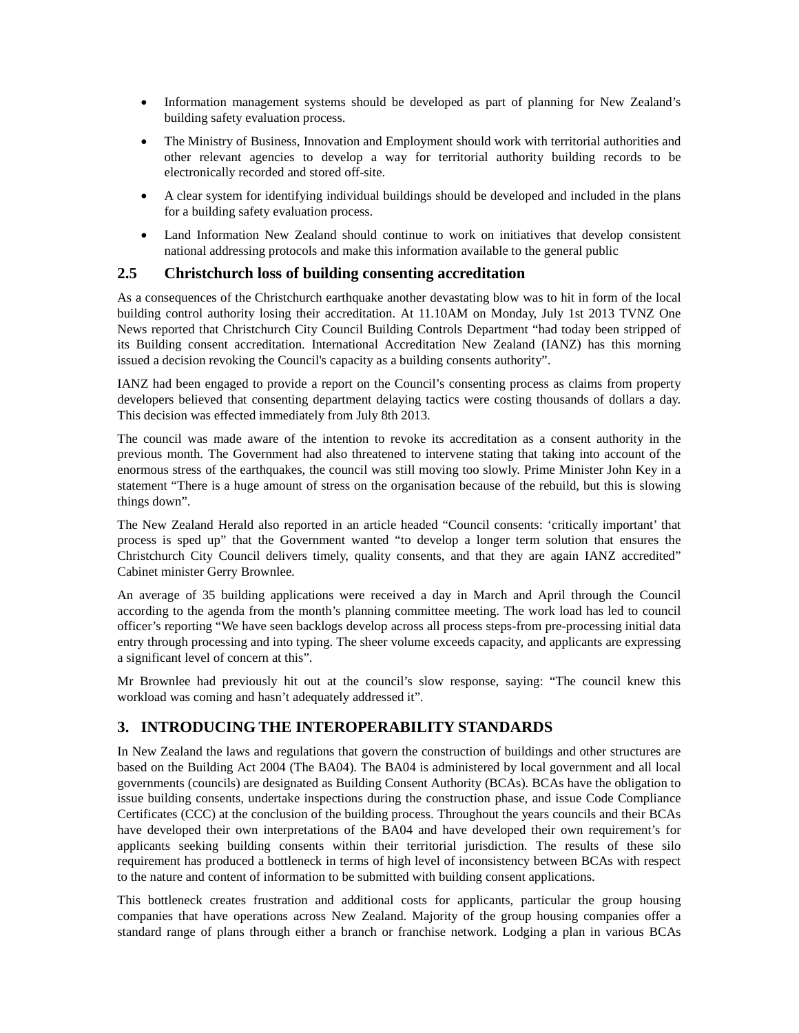- Information management systems should be developed as part of planning for New Zealand's building safety evaluation process.
- The Ministry of Business, Innovation and Employment should work with territorial authorities and other relevant agencies to develop a way for territorial authority building records to be electronically recorded and stored off-site.
- A clear system for identifying individual buildings should be developed and included in the plans for a building safety evaluation process.
- Land Information New Zealand should continue to work on initiatives that develop consistent national addressing protocols and make this information available to the general public

### **2.5 Christchurch loss of building consenting accreditation**

As a consequences of the Christchurch earthquake another devastating blow was to hit in form of the local building control authority losing their accreditation. At 11.10AM on Monday, July 1st 2013 TVNZ One News reported that Christchurch City Council Building Controls Department "had today been stripped of its Building consent accreditation. International Accreditation New Zealand (IANZ) has this morning issued a decision revoking the Council's capacity as a building consents authority".

IANZ had been engaged to provide a report on the Council's consenting process as claims from property developers believed that consenting department delaying tactics were costing thousands of dollars a day. This decision was effected immediately from July 8th 2013.

The council was made aware of the intention to revoke its accreditation as a consent authority in the previous month. The Government had also threatened to intervene stating that taking into account of the enormous stress of the earthquakes, the council was still moving too slowly. Prime Minister John Key in a statement "There is a huge amount of stress on the organisation because of the rebuild, but this is slowing things down".

The New Zealand Herald also reported in an article headed "Council consents: 'critically important' that process is sped up" that the Government wanted "to develop a longer term solution that ensures the Christchurch City Council delivers timely, quality consents, and that they are again IANZ accredited" Cabinet minister Gerry Brownlee.

An average of 35 building applications were received a day in March and April through the Council according to the agenda from the month's planning committee meeting. The work load has led to council officer's reporting "We have seen backlogs develop across all process steps-from pre-processing initial data entry through processing and into typing. The sheer volume exceeds capacity, and applicants are expressing a significant level of concern at this".

Mr Brownlee had previously hit out at the council's slow response, saying: "The council knew this workload was coming and hasn't adequately addressed it".

### **3. INTRODUCING THE INTEROPERABILITY STANDARDS**

In New Zealand the laws and regulations that govern the construction of buildings and other structures are based on the Building Act 2004 (The BA04). The BA04 is administered by local government and all local governments (councils) are designated as Building Consent Authority (BCAs). BCAs have the obligation to issue building consents, undertake inspections during the construction phase, and issue Code Compliance Certificates (CCC) at the conclusion of the building process. Throughout the years councils and their BCAs have developed their own interpretations of the BA04 and have developed their own requirement's for applicants seeking building consents within their territorial jurisdiction. The results of these silo requirement has produced a bottleneck in terms of high level of inconsistency between BCAs with respect to the nature and content of information to be submitted with building consent applications.

This bottleneck creates frustration and additional costs for applicants, particular the group housing companies that have operations across New Zealand. Majority of the group housing companies offer a standard range of plans through either a branch or franchise network. Lodging a plan in various BCAs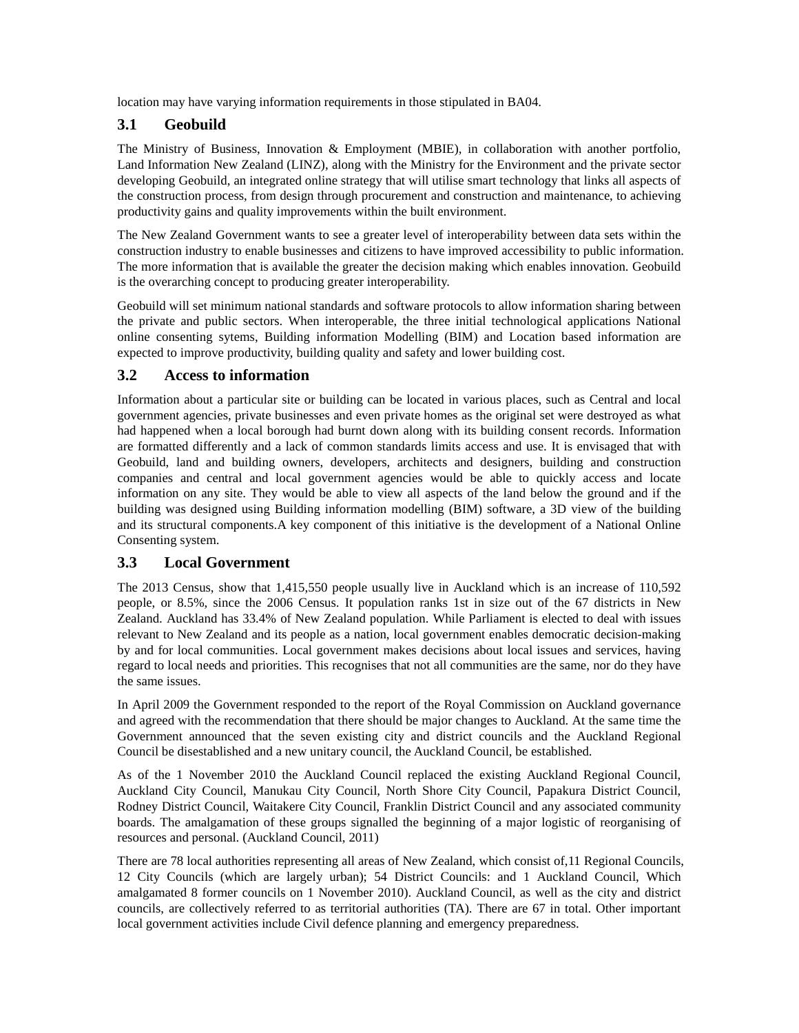location may have varying information requirements in those stipulated in BA04.

# **3.1 Geobuild**

The Ministry of Business, Innovation & Employment (MBIE), in collaboration with another portfolio, Land Information New Zealand (LINZ), along with the Ministry for the Environment and the private sector developing Geobuild, an integrated online strategy that will utilise smart technology that links all aspects of the construction process, from design through procurement and construction and maintenance, to achieving productivity gains and quality improvements within the built environment.

The New Zealand Government wants to see a greater level of interoperability between data sets within the construction industry to enable businesses and citizens to have improved accessibility to public information. The more information that is available the greater the decision making which enables innovation. Geobuild is the overarching concept to producing greater interoperability.

Geobuild will set minimum national standards and software protocols to allow information sharing between the private and public sectors. When interoperable, the three initial technological applications National online consenting sytems, Building information Modelling (BIM) and Location based information are expected to improve productivity, building quality and safety and lower building cost.

## **3.2 Access to information**

Information about a particular site or building can be located in various places, such as Central and local government agencies, private businesses and even private homes as the original set were destroyed as what had happened when a local borough had burnt down along with its building consent records. Information are formatted differently and a lack of common standards limits access and use. It is envisaged that with Geobuild, land and building owners, developers, architects and designers, building and construction companies and central and local government agencies would be able to quickly access and locate information on any site. They would be able to view all aspects of the land below the ground and if the building was designed using Building information modelling (BIM) software, a 3D view of the building and its structural components.A key component of this initiative is the development of a National Online Consenting system.

# **3.3 Local Government**

The 2013 Census, show that 1,415,550 people usually live in Auckland which is an increase of 110,592 people, or 8.5%, since the 2006 Census. It population ranks 1st in size out of the 67 districts in New Zealand. Auckland has 33.4% of New Zealand population. While Parliament is elected to deal with issues relevant to New Zealand and its people as a nation, local government enables democratic decision-making by and for local communities. Local government makes decisions about local issues and services, having regard to local needs and priorities. This recognises that not all communities are the same, nor do they have the same issues.

In April 2009 the Government responded to the report of the Royal Commission on Auckland governance and agreed with the recommendation that there should be major changes to Auckland. At the same time the Government announced that the seven existing city and district councils and the Auckland Regional Council be disestablished and a new unitary council, the Auckland Council, be established.

As of the 1 November 2010 the Auckland Council replaced the existing Auckland Regional Council, Auckland City Council, Manukau City Council, North Shore City Council, Papakura District Council, Rodney District Council, Waitakere City Council, Franklin District Council and any associated community boards. The amalgamation of these groups signalled the beginning of a major logistic of reorganising of resources and personal. (Auckland Council, 2011)

There are 78 local authorities representing all areas of New Zealand, which consist of,11 Regional Councils, 12 City Councils (which are largely urban); 54 District Councils: and 1 Auckland Council, Which amalgamated 8 former councils on 1 November 2010). Auckland Council, as well as the city and district councils, are collectively referred to as territorial authorities (TA). There are 67 in total. Other important local government activities include Civil defence planning and emergency preparedness.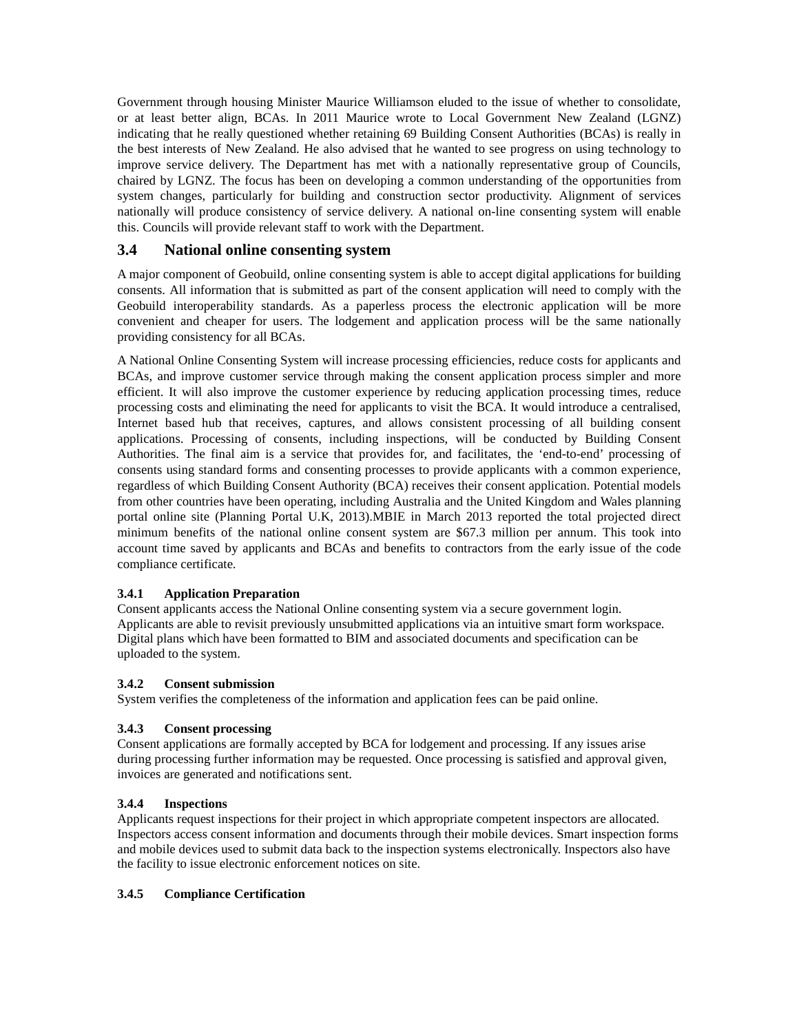Government through housing Minister Maurice Williamson eluded to the issue of whether to consolidate, or at least better align, BCAs. In 2011 Maurice wrote to Local Government New Zealand (LGNZ) indicating that he really questioned whether retaining 69 Building Consent Authorities (BCAs) is really in the best interests of New Zealand. He also advised that he wanted to see progress on using technology to improve service delivery. The Department has met with a nationally representative group of Councils, chaired by LGNZ. The focus has been on developing a common understanding of the opportunities from system changes, particularly for building and construction sector productivity. Alignment of services nationally will produce consistency of service delivery. A national on-line consenting system will enable this. Councils will provide relevant staff to work with the Department.

### **3.4 National online consenting system**

A major component of Geobuild, online consenting system is able to accept digital applications for building consents. All information that is submitted as part of the consent application will need to comply with the Geobuild interoperability standards. As a paperless process the electronic application will be more convenient and cheaper for users. The lodgement and application process will be the same nationally providing consistency for all BCAs.

A National Online Consenting System will increase processing efficiencies, reduce costs for applicants and BCAs, and improve customer service through making the consent application process simpler and more efficient. It will also improve the customer experience by reducing application processing times, reduce processing costs and eliminating the need for applicants to visit the BCA. It would introduce a centralised, Internet based hub that receives, captures, and allows consistent processing of all building consent applications. Processing of consents, including inspections, will be conducted by Building Consent Authorities. The final aim is a service that provides for, and facilitates, the 'end-to-end' processing of consents using standard forms and consenting processes to provide applicants with a common experience, regardless of which Building Consent Authority (BCA) receives their consent application. Potential models from other countries have been operating, including Australia and the United Kingdom and Wales planning portal online site (Planning Portal U.K, 2013).MBIE in March 2013 reported the total projected direct minimum benefits of the national online consent system are \$67.3 million per annum. This took into account time saved by applicants and BCAs and benefits to contractors from the early issue of the code compliance certificate.

#### **3.4.1 Application Preparation**

Consent applicants access the National Online consenting system via a secure government login. Applicants are able to revisit previously unsubmitted applications via an intuitive smart form workspace. Digital plans which have been formatted to BIM and associated documents and specification can be uploaded to the system.

#### **3.4.2 Consent submission**

System verifies the completeness of the information and application fees can be paid online.

#### **3.4.3 Consent processing**

Consent applications are formally accepted by BCA for lodgement and processing. If any issues arise during processing further information may be requested. Once processing is satisfied and approval given, invoices are generated and notifications sent.

#### **3.4.4 Inspections**

Applicants request inspections for their project in which appropriate competent inspectors are allocated. Inspectors access consent information and documents through their mobile devices. Smart inspection forms and mobile devices used to submit data back to the inspection systems electronically. Inspectors also have the facility to issue electronic enforcement notices on site.

#### **3.4.5 Compliance Certification**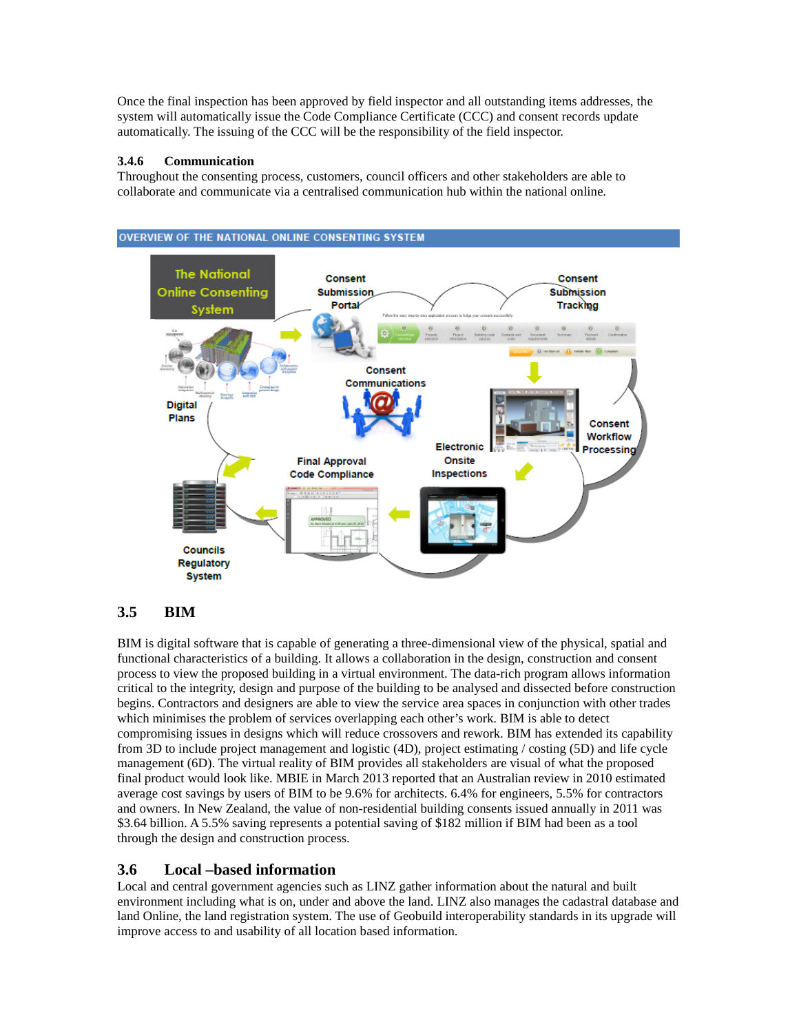Once the final inspection has been approved by field inspector and all outstanding items addresses, the system will automatically issue the Code Compliance Certificate (CCC) and consent records update automatically. The issuing of the CCC will be the responsibility of the field inspector.

#### **3.4.6 Communication**

Throughout the consenting process, customers, council officers and other stakeholders are able to collaborate and communicate via a centralised communication hub within the national online.



## **3.5 BIM**

BIM is digital software that is capable of generating a three-dimensional view of the physical, spatial and functional characteristics of a building. It allows a collaboration in the design, construction and consent process to view the proposed building in a virtual environment. The data-rich program allows information critical to the integrity, design and purpose of the building to be analysed and dissected before construction begins. Contractors and designers are able to view the service area spaces in conjunction with other trades which minimises the problem of services overlapping each other's work. BIM is able to detect compromising issues in designs which will reduce crossovers and rework. BIM has extended its capability from 3D to include project management and logistic (4D), project estimating / costing (5D) and life cycle management (6D). The virtual reality of BIM provides all stakeholders are visual of what the proposed final product would look like. MBIE in March 2013 reported that an Australian review in 2010 estimated average cost savings by users of BIM to be 9.6% for architects. 6.4% for engineers, 5.5% for contractors and owners. In New Zealand, the value of non-residential building consents issued annually in 2011 was \$3.64 billion. A 5.5% saving represents a potential saving of \$182 million if BIM had been as a tool through the design and construction process.

## **3.6 Local –based information**

Local and central government agencies such as LINZ gather information about the natural and built environment including what is on, under and above the land. LINZ also manages the cadastral database and land Online, the land registration system. The use of Geobuild interoperability standards in its upgrade will improve access to and usability of all location based information.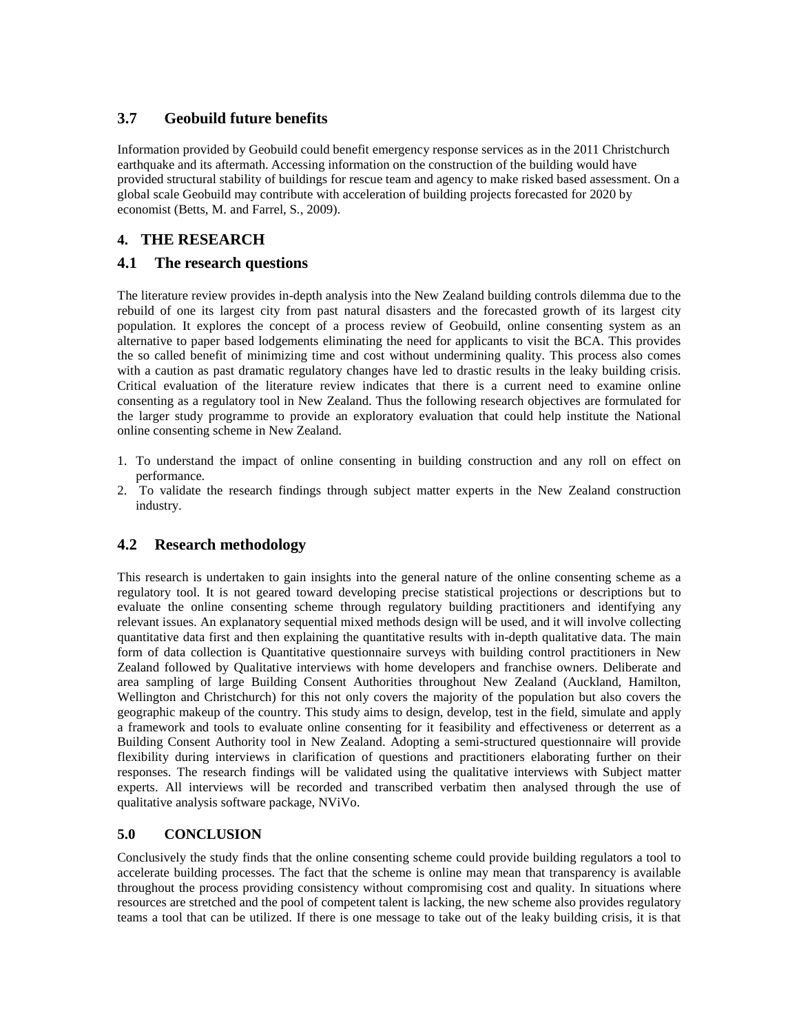## **3.7 Geobuild future benefits**

Information provided by Geobuild could benefit emergency response services as in the 2011 Christchurch earthquake and its aftermath. Accessing information on the construction of the building would have provided structural stability of buildings for rescue team and agency to make risked based assessment. On a global scale Geobuild may contribute with acceleration of building projects forecasted for 2020 by economist (Betts, M. and Farrel, S*.*, 2009).

## **4. THE RESEARCH**

## **4.1 The research questions**

The literature review provides in-depth analysis into the New Zealand building controls dilemma due to the rebuild of one its largest city from past natural disasters and the forecasted growth of its largest city population. It explores the concept of a process review of Geobuild, online consenting system as an alternative to paper based lodgements eliminating the need for applicants to visit the BCA. This provides the so called benefit of minimizing time and cost without undermining quality. This process also comes with a caution as past dramatic regulatory changes have led to drastic results in the leaky building crisis. Critical evaluation of the literature review indicates that there is a current need to examine online consenting as a regulatory tool in New Zealand. Thus the following research objectives are formulated for the larger study programme to provide an exploratory evaluation that could help institute the National online consenting scheme in New Zealand.

- 1. To understand the impact of online consenting in building construction and any roll on effect on performance.
- 2. To validate the research findings through subject matter experts in the New Zealand construction industry.

## **4.2 Research methodology**

This research is undertaken to gain insights into the general nature of the online consenting scheme as a regulatory tool. It is not geared toward developing precise statistical projections or descriptions but to evaluate the online consenting scheme through regulatory building practitioners and identifying any relevant issues. An explanatory sequential mixed methods design will be used, and it will involve collecting quantitative data first and then explaining the quantitative results with in-depth qualitative data. The main form of data collection is Quantitative questionnaire surveys with building control practitioners in New Zealand followed by Qualitative interviews with home developers and franchise owners. Deliberate and area sampling of large Building Consent Authorities throughout New Zealand (Auckland, Hamilton, Wellington and Christchurch) for this not only covers the majority of the population but also covers the geographic makeup of the country. This study aims to design, develop, test in the field, simulate and apply a framework and tools to evaluate online consenting for it feasibility and effectiveness or deterrent as a Building Consent Authority tool in New Zealand. Adopting a semi-structured questionnaire will provide flexibility during interviews in clarification of questions and practitioners elaborating further on their responses. The research findings will be validated using the qualitative interviews with Subject matter experts. All interviews will be recorded and transcribed verbatim then analysed through the use of qualitative analysis software package, NViVo.

### **5.0 CONCLUSION**

Conclusively the study finds that the online consenting scheme could provide building regulators a tool to accelerate building processes. The fact that the scheme is online may mean that transparency is available throughout the process providing consistency without compromising cost and quality. In situations where resources are stretched and the pool of competent talent is lacking, the new scheme also provides regulatory teams a tool that can be utilized. If there is one message to take out of the leaky building crisis, it is that